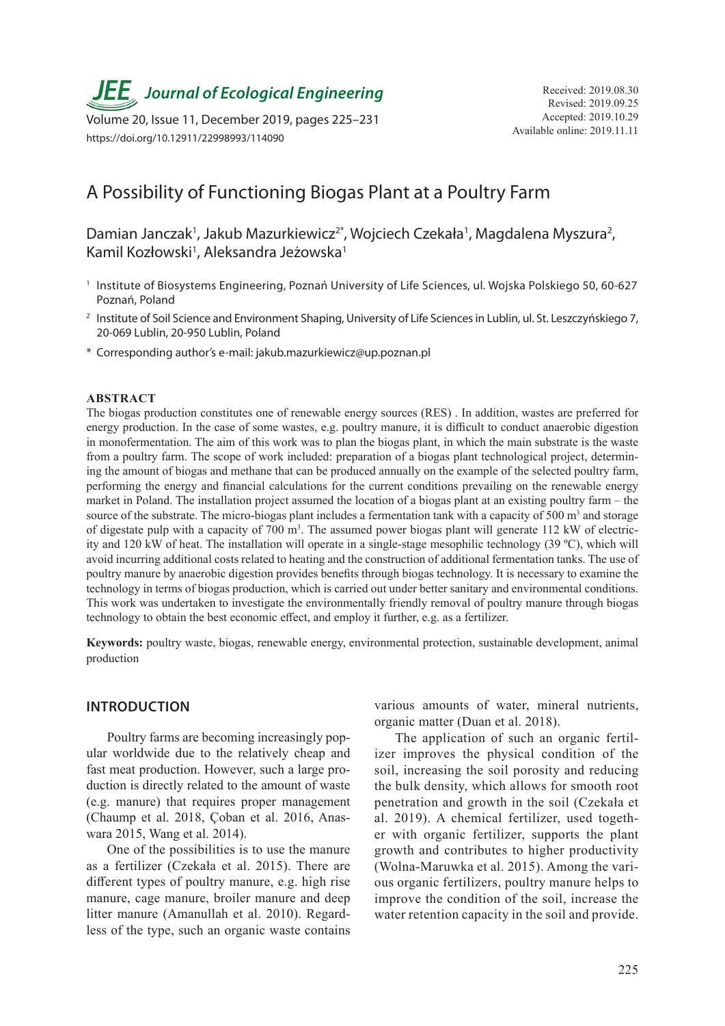**JEE** Journal of Ecological Engineering Received: 2019.08.30

Available online: 2019.11.11 Volume 20, Issue 11, December 2019, pages 225–231 https://doi.org/10.12911/22998993/114090

# A Possibility of Functioning Biogas Plant at a Poultry Farm

Damian Janczak<sup>1</sup>, Jakub Mazurkiewicz<sup>2\*</sup>, Wojciech Czekała<sup>1</sup>, Magdalena Myszura<sup>2</sup>, Kamil Kozłowski<sup>1</sup>, Aleksandra Jeżowska<sup>1</sup>

- <sup>1</sup> Institute of Biosystems Engineering, Poznań University of Life Sciences, ul. Wojska Polskiego 50, 60-627 Poznań, Poland
- <sup>2</sup> Institute of Soil Science and Environment Shaping, University of Life Sciences in Lublin, ul. St. Leszczyńskiego 7, 20-069 Lublin, 20-950 Lublin, Poland
- \* Corresponding author's e-mail: jakub.mazurkiewicz@up.poznan.pl

#### **ABSTRACT**

The biogas production constitutes one of renewable energy sources (RES) . In addition, wastes are preferred for energy production. In the case of some wastes, e.g. poultry manure, it is difficult to conduct anaerobic digestion in monofermentation. The aim of this work was to plan the biogas plant, in which the main substrate is the waste from a poultry farm. The scope of work included: preparation of a biogas plant technological project, determining the amount of biogas and methane that can be produced annually on the example of the selected poultry farm, performing the energy and financial calculations for the current conditions prevailing on the renewable energy market in Poland. The installation project assumed the location of a biogas plant at an existing poultry farm – the source of the substrate. The micro-biogas plant includes a fermentation tank with a capacity of  $500 \text{ m}^3$  and storage of digestate pulp with a capacity of 700 m<sup>3</sup>. The assumed power biogas plant will generate 112 kW of electricity and 120 kW of heat. The installation will operate in a single-stage mesophilic technology (39 ºC), which will avoid incurring additional costs related to heating and the construction of additional fermentation tanks. The use of poultry manure by anaerobic digestion provides benefits through biogas technology. It is necessary to examine the technology in terms of biogas production, which is carried out under better sanitary and environmental conditions. This work was undertaken to investigate the environmentally friendly removal of poultry manure through biogas technology to obtain the best economic effect, and employ it further, e.g. as a fertilizer.

**Keywords:** poultry waste, biogas, renewable energy, environmental protection, sustainable development, animal production

### **INTRODUCTION**

Poultry farms are becoming increasingly popular worldwide due to the relatively cheap and fast meat production. However, such a large production is directly related to the amount of waste (e.g. manure) that requires proper management (Chaump et al. 2018, Çoban et al. 2016, Anaswara 2015, Wang et al. 2014).

One of the possibilities is to use the manure as a fertilizer (Czekała et al. 2015). There are different types of poultry manure, e.g. high rise manure, cage manure, broiler manure and deep litter manure (Amanullah et al. 2010). Regardless of the type, such an organic waste contains

various amounts of water, mineral nutrients, organic matter (Duan et al. 2018).

The application of such an organic fertilizer improves the physical condition of the soil, increasing the soil porosity and reducing the bulk density, which allows for smooth root penetration and growth in the soil (Czekała et al. 2019). A chemical fertilizer, used together with organic fertilizer, supports the plant growth and contributes to higher productivity (Wolna-Maruwka et al. 2015). Among the various organic fertilizers, poultry manure helps to improve the condition of the soil, increase the water retention capacity in the soil and provide.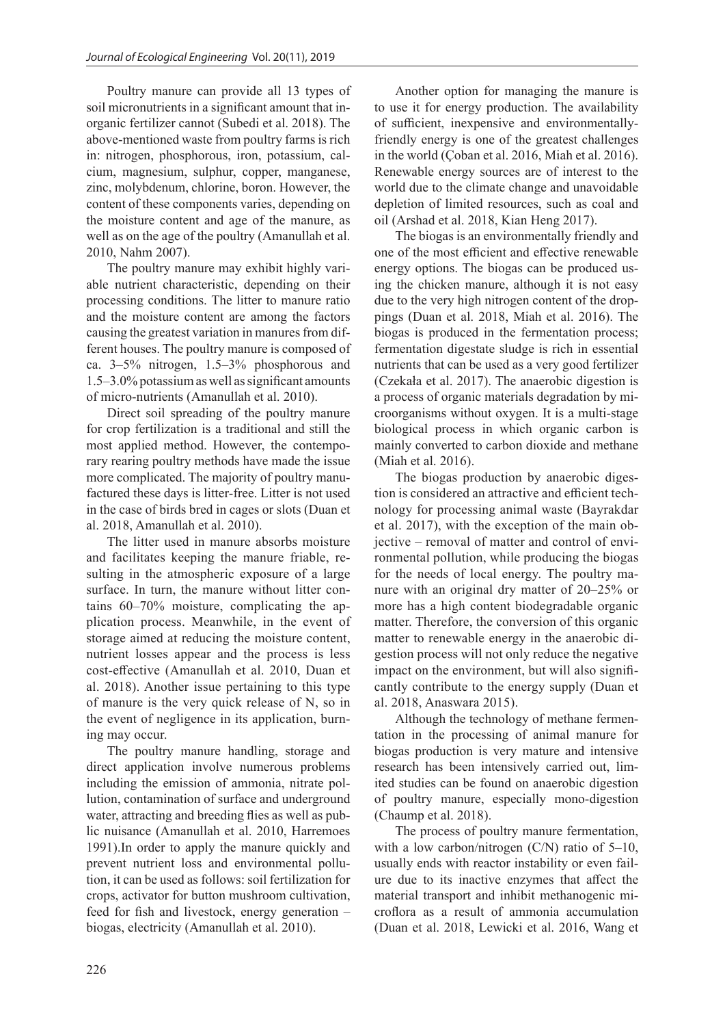Poultry manure can provide all 13 types of soil micronutrients in a significant amount that inorganic fertilizer cannot (Subedi et al. 2018). The above-mentioned waste from poultry farms is rich in: nitrogen, phosphorous, iron, potassium, calcium, magnesium, sulphur, copper, manganese, zinc, molybdenum, chlorine, boron. However, the content of these components varies, depending on the moisture content and age of the manure, as well as on the age of the poultry (Amanullah et al. 2010, Nahm 2007).

The poultry manure may exhibit highly variable nutrient characteristic, depending on their processing conditions. The litter to manure ratio and the moisture content are among the factors causing the greatest variation in manures from different houses. The poultry manure is composed of ca. 3–5% nitrogen, 1.5–3% phosphorous and 1.5–3.0% potassium as well as significant amounts of micro-nutrients (Amanullah et al. 2010).

Direct soil spreading of the poultry manure for crop fertilization is a traditional and still the most applied method. However, the contemporary rearing poultry methods have made the issue more complicated. The majority of poultry manufactured these days is litter-free. Litter is not used in the case of birds bred in cages or slots (Duan et al. 2018, Amanullah et al. 2010).

The litter used in manure absorbs moisture and facilitates keeping the manure friable, resulting in the atmospheric exposure of a large surface. In turn, the manure without litter contains 60–70% moisture, complicating the application process. Meanwhile, in the event of storage aimed at reducing the moisture content, nutrient losses appear and the process is less cost-effective (Amanullah et al. 2010, Duan et al. 2018). Another issue pertaining to this type of manure is the very quick release of N, so in the event of negligence in its application, burning may occur.

The poultry manure handling, storage and direct application involve numerous problems including the emission of ammonia, nitrate pollution, contamination of surface and underground water, attracting and breeding flies as well as public nuisance (Amanullah et al. 2010, Harremoes 1991).In order to apply the manure quickly and prevent nutrient loss and environmental pollution, it can be used as follows: soil fertilization for crops, activator for button mushroom cultivation, feed for fish and livestock, energy generation – biogas, electricity (Amanullah et al. 2010).

Another option for managing the manure is to use it for energy production. The availability of sufficient, inexpensive and environmentallyfriendly energy is one of the greatest challenges in the world (Çoban et al. 2016, Miah et al. 2016). Renewable energy sources are of interest to the world due to the climate change and unavoidable depletion of limited resources, such as coal and oil (Arshad et al. 2018, Kian Heng 2017).

The biogas is an environmentally friendly and one of the most efficient and effective renewable energy options. The biogas can be produced using the chicken manure, although it is not easy due to the very high nitrogen content of the droppings (Duan et al. 2018, Miah et al. 2016). The biogas is produced in the fermentation process; fermentation digestate sludge is rich in essential nutrients that can be used as a very good fertilizer (Czekała et al. 2017). The anaerobic digestion is a process of organic materials degradation by microorganisms without oxygen. It is a multi-stage biological process in which organic carbon is mainly converted to carbon dioxide and methane (Miah et al. 2016).

The biogas production by anaerobic digestion is considered an attractive and efficient technology for processing animal waste (Bayrakdar et al. 2017), with the exception of the main objective – removal of matter and control of environmental pollution, while producing the biogas for the needs of local energy. The poultry manure with an original dry matter of 20–25% or more has a high content biodegradable organic matter. Therefore, the conversion of this organic matter to renewable energy in the anaerobic digestion process will not only reduce the negative impact on the environment, but will also significantly contribute to the energy supply (Duan et al. 2018, Anaswara 2015).

Although the technology of methane fermentation in the processing of animal manure for biogas production is very mature and intensive research has been intensively carried out, limited studies can be found on anaerobic digestion of poultry manure, especially mono-digestion (Chaump et al. 2018).

The process of poultry manure fermentation, with a low carbon/nitrogen (C/N) ratio of 5–10, usually ends with reactor instability or even failure due to its inactive enzymes that affect the material transport and inhibit methanogenic microflora as a result of ammonia accumulation (Duan et al. 2018, Lewicki et al. 2016, Wang et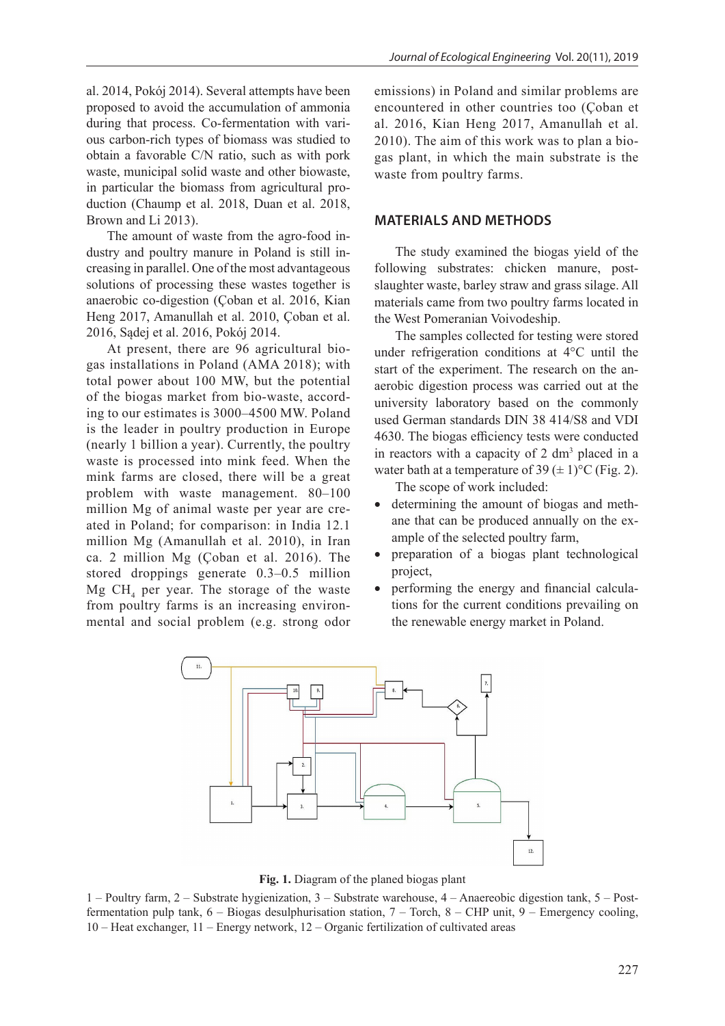al. 2014, Pokój 2014). Several attempts have been proposed to avoid the accumulation of ammonia during that process. Co-fermentation with various carbon-rich types of biomass was studied to obtain a favorable C/N ratio, such as with pork waste, municipal solid waste and other biowaste, in particular the biomass from agricultural production (Chaump et al. 2018, Duan et al. 2018, Brown and Li 2013).

The amount of waste from the agro-food industry and poultry manure in Poland is still increasing in parallel. One of the most advantageous solutions of processing these wastes together is anaerobic co-digestion (Çoban et al. 2016, Kian Heng 2017, Amanullah et al. 2010, Çoban et al. 2016, Sądej et al. 2016, Pokój 2014.

At present, there are 96 agricultural biogas installations in Poland (AMA 2018); with total power about 100 MW, but the potential of the biogas market from bio-waste, according to our estimates is 3000–4500 MW. Poland is the leader in poultry production in Europe (nearly 1 billion a year). Currently, the poultry waste is processed into mink feed. When the mink farms are closed, there will be a great problem with waste management. 80–100 million Mg of animal waste per year are created in Poland; for comparison: in India 12.1 million Mg (Amanullah et al. 2010), in Iran ca. 2 million Mg (Çoban et al. 2016). The stored droppings generate 0.3–0.5 million  $Mg$  CH<sub>4</sub> per year. The storage of the waste from poultry farms is an increasing environmental and social problem (e.g. strong odor

emissions) in Poland and similar problems are encountered in other countries too (Çoban et al. 2016, Kian Heng 2017, Amanullah et al. 2010). The aim of this work was to plan a biogas plant, in which the main substrate is the waste from poultry farms.

# **MATERIALS AND METHODS**

The study examined the biogas yield of the following substrates: chicken manure, postslaughter waste, barley straw and grass silage. All materials came from two poultry farms located in the West Pomeranian Voivodeship.

The samples collected for testing were stored under refrigeration conditions at 4°C until the start of the experiment. The research on the anaerobic digestion process was carried out at the university laboratory based on the commonly used German standards DIN 38 414/S8 and VDI 4630. The biogas efficiency tests were conducted in reactors with a capacity of 2 dm<sup>3</sup> placed in a water bath at a temperature of 39  $(\pm 1)$ °C (Fig. 2).

The scope of work included:

- determining the amount of biogas and methane that can be produced annually on the example of the selected poultry farm,
- preparation of a biogas plant technological project,
- performing the energy and financial calculations for the current conditions prevailing on the renewable energy market in Poland.



**Fig. 1.** Diagram of the planed biogas plant

1 – Poultry farm, 2 – Substrate hygienization, 3 – Substrate warehouse, 4 – Anaereobic digestion tank, 5 – Postfermentation pulp tank,  $6 - Biogas$  desulphurisation station,  $7 - Torch$ ,  $8 - CHP$  unit,  $9 - Emergency$  cooling, 10 – Heat exchanger, 11 – Energy network, 12 – Organic fertilization of cultivated areas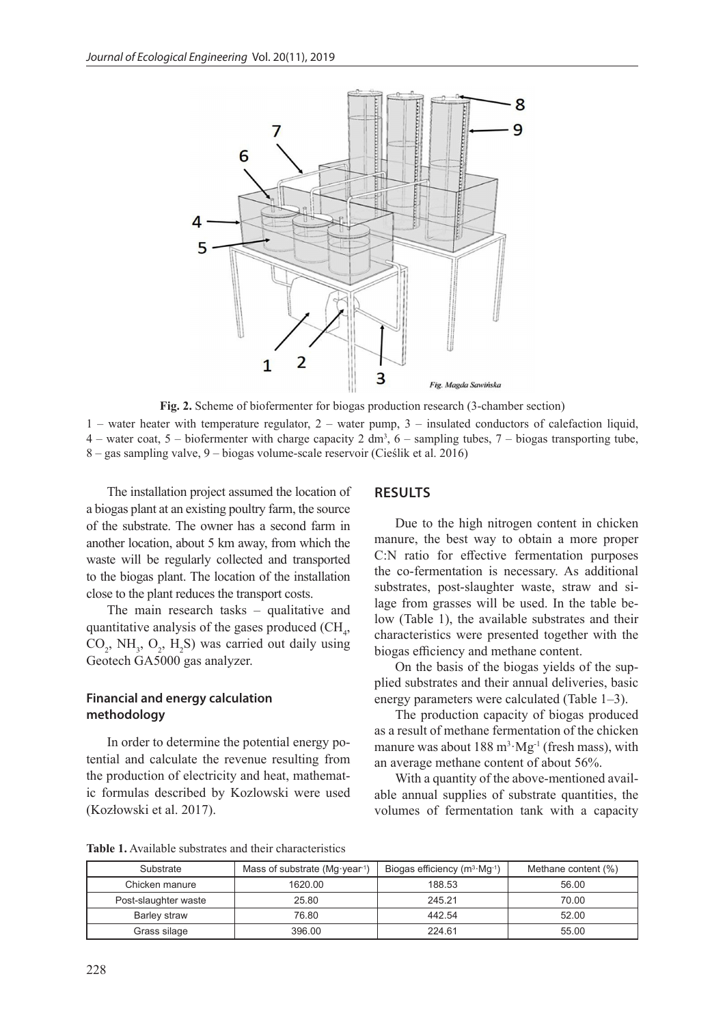

**Fig. 2.** Scheme of biofermenter for biogas production research (3-chamber section)

1 – water heater with temperature regulator, 2 – water pump, 3 – insulated conductors of calefaction liquid, 4 – water coat, 5 – biofermenter with charge capacity 2 dm<sup>3</sup>, 6 – sampling tubes, 7 – biogas transporting tube, 8 – gas sampling valve, 9 – biogas volume-scale reservoir (Cieślik et al. 2016)

The installation project assumed the location of a biogas plant at an existing poultry farm, the source of the substrate. The owner has a second farm in another location, about 5 km away, from which the waste will be regularly collected and transported to the biogas plant. The location of the installation close to the plant reduces the transport costs.

The main research tasks – qualitative and quantitative analysis of the gases produced  $(CH<sub>4</sub>,$  $CO_2$ , NH<sub>3</sub>,  $O_2$ , H<sub>2</sub>S) was carried out daily using Geotech GA5000 gas analyzer.

# **Financial and energy calculation methodology**

In order to determine the potential energy potential and calculate the revenue resulting from the production of electricity and heat, mathematic formulas described by Kozlowski were used (Kozłowski et al. 2017).

# **RESULTS**

Due to the high nitrogen content in chicken manure, the best way to obtain a more proper C:N ratio for effective fermentation purposes the co-fermentation is necessary. As additional substrates, post-slaughter waste, straw and silage from grasses will be used. In the table below (Table 1), the available substrates and their characteristics were presented together with the biogas efficiency and methane content.

On the basis of the biogas yields of the supplied substrates and their annual deliveries, basic energy parameters were calculated (Table 1–3).

The production capacity of biogas produced as a result of methane fermentation of the chicken manure was about  $188 \text{ m}^3 \cdot \text{Mg}^{-1}$  (fresh mass), with an average methane content of about 56%.

With a quantity of the above-mentioned available annual supplies of substrate quantities, the volumes of fermentation tank with a capacity

**Table 1.** Available substrates and their characteristics

| Substrate            | Mass of substrate (Mg $\cdot$ year <sup>1</sup> ) | Biogas efficiency $(m^3 \cdot Mg^{-1})$ | Methane content (%) |
|----------------------|---------------------------------------------------|-----------------------------------------|---------------------|
| Chicken manure       | 1620.00                                           | 188.53                                  | 56.00               |
| Post-slaughter waste | 25.80                                             | 245.21                                  | 70.00               |
| Barley straw         | 76.80                                             | 442.54                                  | 52.00               |
| Grass silage         | 396.00                                            | 224.61                                  | 55.00               |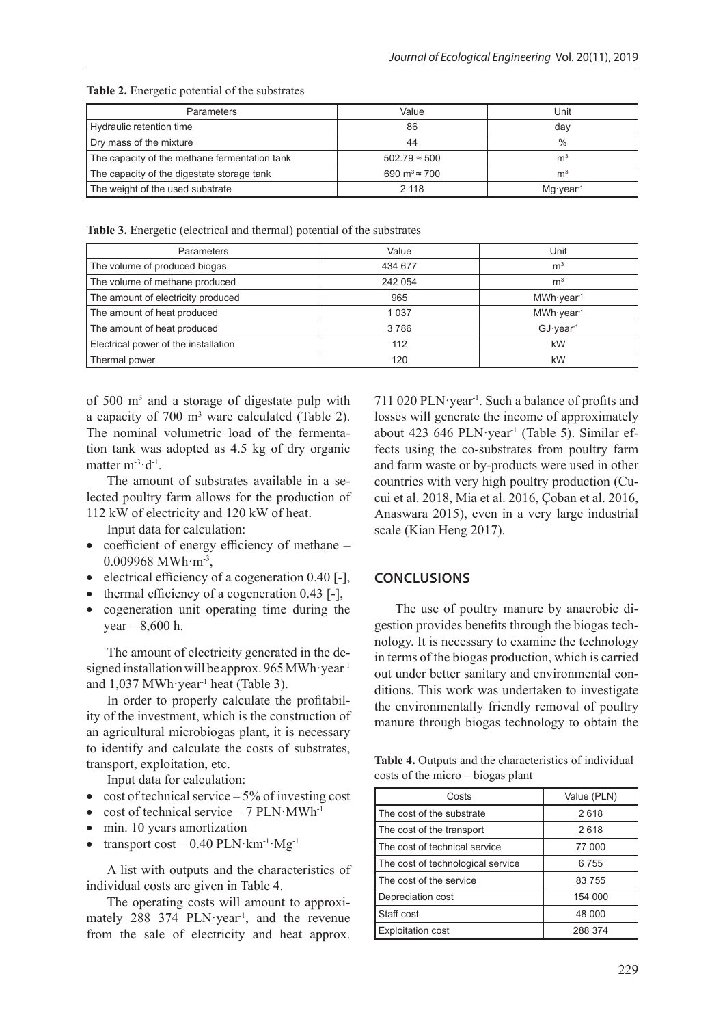| <b>Parameters</b>                             | Value                            | Unit                 |
|-----------------------------------------------|----------------------------------|----------------------|
| Hydraulic retention time                      | 86                               | day                  |
| Dry mass of the mixture                       | 44                               | $\frac{0}{0}$        |
| The capacity of the methane fermentation tank | $502.79 \approx 500$             | m <sup>3</sup>       |
| The capacity of the digestate storage tank    | 690 m <sup>3</sup> $\approx$ 700 | m                    |
| The weight of the used substrate              | 2 1 1 8                          | Mg·year <sup>1</sup> |

**Table 2.** Energetic potential of the substrates

**Table 3.** Energetic (electrical and thermal) potential of the substrates

| <b>Parameters</b>                    | Value   | Unit                   |
|--------------------------------------|---------|------------------------|
| The volume of produced biogas        | 434 677 | m <sup>3</sup>         |
| The volume of methane produced       | 242 054 | m <sup>3</sup>         |
| The amount of electricity produced   | 965     | $MWh\cdot year^1$      |
| The amount of heat produced          | 1 0 3 7 | $MWh\cdot year\cdot 1$ |
| The amount of heat produced          | 3786    | GJ·year <sup>1</sup>   |
| Electrical power of the installation | 112     | kW                     |
| Thermal power                        | 120     | kW                     |

of 500 m<sup>3</sup> and a storage of digestate pulp with a capacity of  $700 \text{ m}^3$  ware calculated (Table 2). The nominal volumetric load of the fermentation tank was adopted as 4.5 kg of dry organic matter  $m^{-3} \cdot d^{-1}$ .

The amount of substrates available in a selected poultry farm allows for the production of 112 kW of electricity and 120 kW of heat.

Input data for calculation:

- coefficient of energy efficiency of methane 0.009968 MWh·m-3,
- electrical efficiency of a cogeneration 0.40 [-],
- thermal efficiency of a cogeneration 0.43 [-],
- cogeneration unit operating time during the year – 8,600 h.

The amount of electricity generated in the designed installation will be approx. 965 MWh·year<sup>1</sup> and  $1,037$  MWh·year<sup>1</sup> heat (Table 3).

In order to properly calculate the profitability of the investment, which is the construction of an agricultural microbiogas plant, it is necessary to identify and calculate the costs of substrates, transport, exploitation, etc.

Input data for calculation:

- $\cot$  of technical service 5% of investing cost
- cost of technical service 7  $PLN \cdot MWh^{-1}$
- min. 10 years amortization
- transport cost  $0.40$  PLN $\cdot$ km<sup>-1</sup> $\cdot$ Mg<sup>-1</sup>

A list with outputs and the characteristics of individual costs are given in Table 4.

The operating costs will amount to approximately 288 374 PLN·year<sup>-1</sup>, and the revenue from the sale of electricity and heat approx.

711 020 PLN·year<sup>-1</sup>. Such a balance of profits and losses will generate the income of approximately about 423 646 PLN·year<sup>-1</sup> (Table 5). Similar effects using the co-substrates from poultry farm and farm waste or by-products were used in other countries with very high poultry production (Cucui et al. 2018, Mia et al. 2016, Çoban et al. 2016, Anaswara 2015), even in a very large industrial scale (Kian Heng 2017).

# **CONCLUSIONS**

The use of poultry manure by anaerobic digestion provides benefits through the biogas technology. It is necessary to examine the technology in terms of the biogas production, which is carried out under better sanitary and environmental conditions. This work was undertaken to investigate the environmentally friendly removal of poultry manure through biogas technology to obtain the

**Table 4.** Outputs and the characteristics of individual costs of the micro – biogas plant

| Costs                             | Value (PLN) |
|-----------------------------------|-------------|
| The cost of the substrate         | 2618        |
| The cost of the transport         | 2618        |
| The cost of technical service     | 77 000      |
| The cost of technological service | 6755        |
| The cost of the service           | 83755       |
| Depreciation cost                 | 154 000     |
| Staff cost                        | 48 000      |
| <b>Exploitation cost</b>          | 288 374     |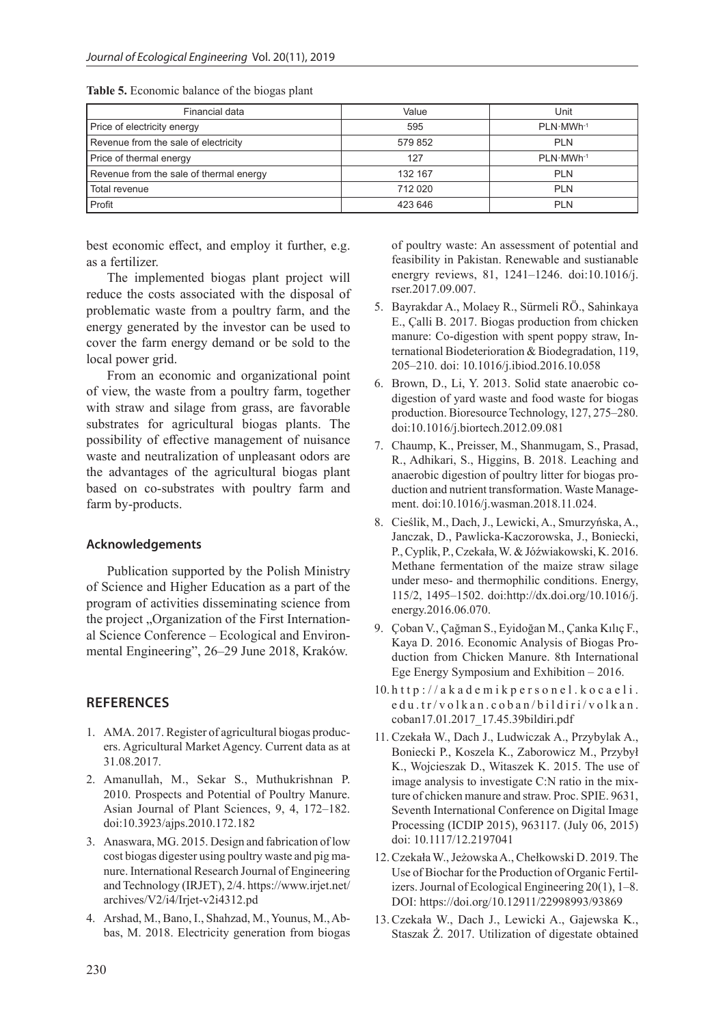| Financial data                          | Value   | Unit                  |
|-----------------------------------------|---------|-----------------------|
| Price of electricity energy             | 595     | PLN-MWh-1             |
| Revenue from the sale of electricity    | 579 852 | <b>PLN</b>            |
| Price of thermal energy                 | 127     | PLN MWh <sup>-1</sup> |
| Revenue from the sale of thermal energy | 132 167 | <b>PLN</b>            |
| Total revenue                           | 712 020 | <b>PLN</b>            |
| Profit                                  | 423 646 | <b>PLN</b>            |

**Table 5.** Economic balance of the biogas plant

best economic effect, and employ it further, e.g. as a fertilizer.

The implemented biogas plant project will reduce the costs associated with the disposal of problematic waste from a poultry farm, and the energy generated by the investor can be used to cover the farm energy demand or be sold to the local power grid.

From an economic and organizational point of view, the waste from a poultry farm, together with straw and silage from grass, are favorable substrates for agricultural biogas plants. The possibility of effective management of nuisance waste and neutralization of unpleasant odors are the advantages of the agricultural biogas plant based on co-substrates with poultry farm and farm by-products.

#### **Acknowledgements**

Publication supported by the Polish Ministry of Science and Higher Education as a part of the program of activities disseminating science from the project "Organization of the First International Science Conference – Ecological and Environmental Engineering", 26–29 June 2018, Kraków.

## **REFERENCES**

- 1. AMA. 2017. Register of agricultural biogas producers. Agricultural Market Agency. Current data as at 31.08.2017.
- 2. Amanullah, M., Sekar S., Muthukrishnan P. 2010. Prospects and Potential of Poultry Manure. Asian Journal of Plant Sciences, 9, 4, 172–182. doi:10.3923/ajps.2010.172.182
- 3. Anaswara, MG. 2015. Design and fabrication of low cost biogas digester using poultry waste and pig manure. International Research Journal of Engineering and Technology (IRJET), 2/4. https://www.irjet.net/ archives/V2/i4/Irjet-v2i4312.pd
- 4. Arshad, M., Bano, I., Shahzad, M., Younus, M., Abbas, M. 2018. Electricity generation from biogas

of poultry waste: An assessment of potential and feasibility in Pakistan. Renewable and sustianable energry reviews, 81, 1241–1246. doi:10.1016/j. rser.2017.09.007.

- 5. Bayrakdar A., Molaey R., Sürmeli RÖ., Sahinkaya E., Çalli B. 2017. Biogas production from chicken manure: Co-digestion with spent poppy straw, International Biodeterioration & Biodegradation, 119, 205–210. doi: 10.1016/j.ibiod.2016.10.058
- 6. Brown, D., Li, Y. 2013. Solid state anaerobic codigestion of yard waste and food waste for biogas production. Bioresource Technology, 127, 275–280. doi:10.1016/j.biortech.2012.09.081
- 7. Chaump, K., Preisser, M., Shanmugam, S., Prasad, R., Adhikari, S., Higgins, B. 2018. Leaching and anaerobic digestion of poultry litter for biogas production and nutrient transformation. Waste Management. doi:10.1016/j.wasman.2018.11.024.
- 8. Cieślik, M., Dach, J., Lewicki, A., Smurzyńska, A., Janczak, D., Pawlicka-Kaczorowska, J., Boniecki, P., Cyplik, P., Czekała, W. & Jóźwiakowski, K. 2016. Methane fermentation of the maize straw silage under meso- and thermophilic conditions. Energy, 115/2, 1495–1502. doi:http://dx.doi.org/10.1016/j. energy.2016.06.070.
- 9. Çoban V., Çağman S., Eyidoğan M., Çanka Kılıç F., Kaya D. 2016. Economic Analysis of Biogas Production from Chicken Manure. 8th International Ege Energy Symposium and Exhibition – 2016.
- 10. http://akademikpersonel.kocaeli. edu.tr/volkan.coban/bildiri/volkan. coban17.01.2017\_17.45.39bildiri.pdf
- 11. Czekała W., Dach J., Ludwiczak A., Przybylak A., Boniecki P., Koszela K., Zaborowicz M., Przybył K., Wojcieszak D., Witaszek K. 2015. The use of image analysis to investigate C:N ratio in the mixture of chicken manure and straw. Proc. SPIE. 9631, Seventh International Conference on Digital Image Processing (ICDIP 2015), 963117. (July 06, 2015) doi: 10.1117/12.2197041
- 12. Czekała W., Jeżowska A., Chełkowski D. 2019. The Use of Biochar for the Production of Organic Fertilizers. Journal of Ecological Engineering 20(1), 1–8. DOI: https://doi.org/10.12911/22998993/93869
- 13.Czekała W., Dach J., Lewicki A., Gajewska K., Staszak Ż. 2017. Utilization of digestate obtained